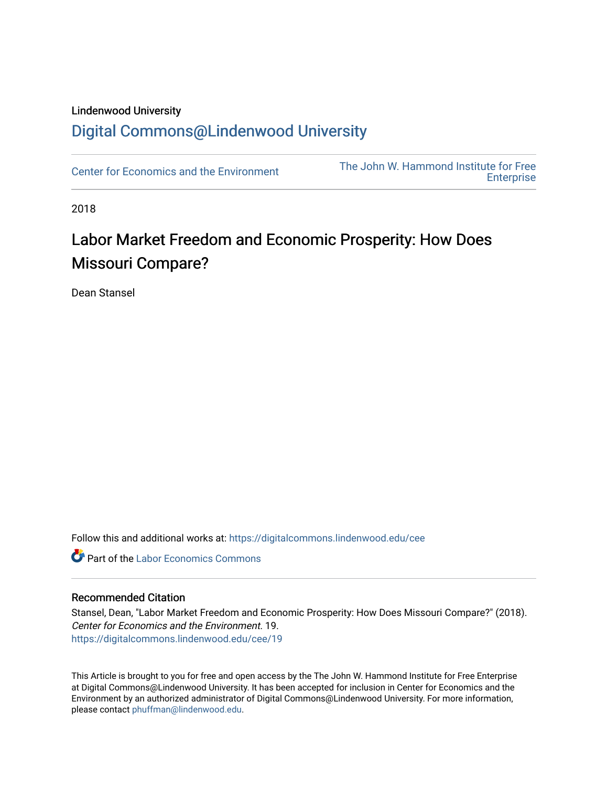#### Lindenwood University

# [Digital Commons@Lindenwood University](https://digitalcommons.lindenwood.edu/)

[Center for Economics and the Environment](https://digitalcommons.lindenwood.edu/cee) The John W. Hammond Institute for Free **Enterprise** 

2018

# Labor Market Freedom and Economic Prosperity: How Does Missouri Compare?

Dean Stansel

Follow this and additional works at: [https://digitalcommons.lindenwood.edu/cee](https://digitalcommons.lindenwood.edu/cee?utm_source=digitalcommons.lindenwood.edu%2Fcee%2F19&utm_medium=PDF&utm_campaign=PDFCoverPages)

**C** Part of the [Labor Economics Commons](http://network.bepress.com/hgg/discipline/349?utm_source=digitalcommons.lindenwood.edu%2Fcee%2F19&utm_medium=PDF&utm_campaign=PDFCoverPages)

#### Recommended Citation

Stansel, Dean, "Labor Market Freedom and Economic Prosperity: How Does Missouri Compare?" (2018). Center for Economics and the Environment. 19. [https://digitalcommons.lindenwood.edu/cee/19](https://digitalcommons.lindenwood.edu/cee/19?utm_source=digitalcommons.lindenwood.edu%2Fcee%2F19&utm_medium=PDF&utm_campaign=PDFCoverPages) 

This Article is brought to you for free and open access by the The John W. Hammond Institute for Free Enterprise at Digital Commons@Lindenwood University. It has been accepted for inclusion in Center for Economics and the Environment by an authorized administrator of Digital Commons@Lindenwood University. For more information, please contact [phuffman@lindenwood.edu.](mailto:phuffman@lindenwood.edu)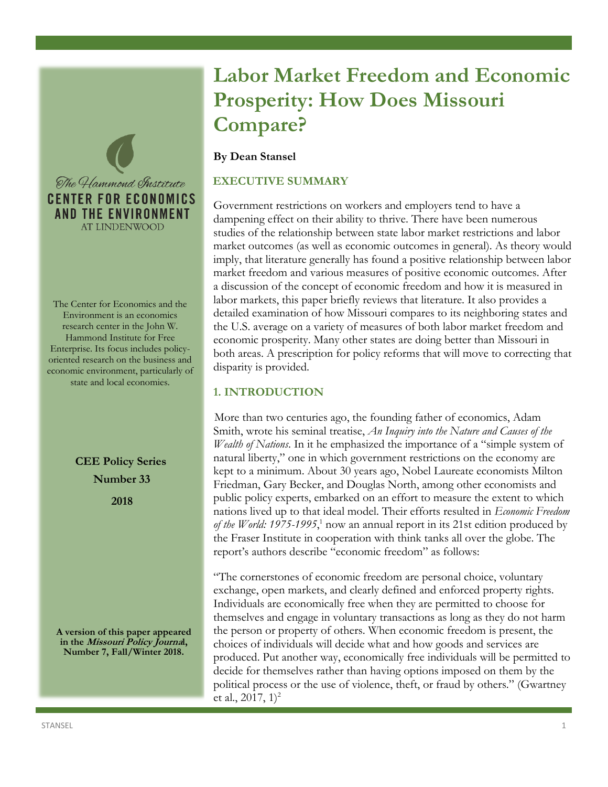

The Center for Economics and the Environment is an economics research center in the John W. Hammond Institute for Free Enterprise. Its focus includes policyoriented research on the business and economic environment, particularly of state and local economies.

> **CEE Policy Series Number 33 2018**

**A version of this paper appeared in the Missouri Policy Journal, Number 7, Fall/Winter 2018.** 

# **Labor Market Freedom and Economic Prosperity: How Does Missouri Compare?**

#### **By Dean Stansel**

#### **EXECUTIVE SUMMARY**

Government restrictions on workers and employers tend to have a dampening effect on their ability to thrive. There have been numerous studies of the relationship between state labor market restrictions and labor market outcomes (as well as economic outcomes in general). As theory would imply, that literature generally has found a positive relationship between labor market freedom and various measures of positive economic outcomes. After a discussion of the concept of economic freedom and how it is measured in labor markets, this paper briefly reviews that literature. It also provides a detailed examination of how Missouri compares to its neighboring states and the U.S. average on a variety of measures of both labor market freedom and economic prosperity. Many other states are doing better than Missouri in both areas. A prescription for policy reforms that will move to correcting that disparity is provided.

#### **1. INTRODUCTION**

More than two centuries ago, the founding father of economics, Adam Smith, wrote his seminal treatise, *An Inquiry into the Nature and Causes of the Wealth of Nations*. In it he emphasized the importance of a "simple system of natural liberty," one in which government restrictions on the economy are kept to a minimum. About 30 years ago, Nobel Laureate economists Milton Friedman, Gary Becker, and Douglas North, among other economists and public policy experts, embarked on an effort to measure the extent to which nations lived up to that ideal model. Their efforts resulted in *Economic Freedom of the World: 1975-1995*, <sup>1</sup> now an annual report in its 21st edition produced by the Fraser Institute in cooperation with think tanks all over the globe. The report's authors describe "economic freedom" as follows:

"The cornerstones of economic freedom are personal choice, voluntary exchange, open markets, and clearly defined and enforced property rights. Individuals are economically free when they are permitted to choose for themselves and engage in voluntary transactions as long as they do not harm the person or property of others. When economic freedom is present, the choices of individuals will decide what and how goods and services are produced. Put another way, economically free individuals will be permitted to decide for themselves rather than having options imposed on them by the political process or the use of violence, theft, or fraud by others." (Gwartney et al.,  $2017$ ,  $1)^2$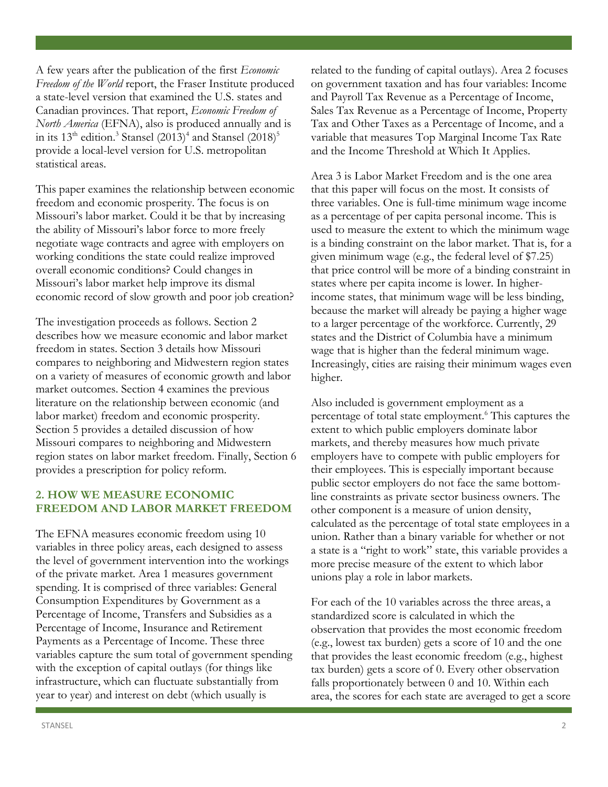A few years after the publication of the first *Economic Freedom of the World* report, the Fraser Institute produced a state-level version that examined the U.S. states and Canadian provinces. That report, *Economic Freedom of North America* (EFNA), also is produced annually and is in its 13<sup>th</sup> edition.<sup>3</sup> Stansel (2013)<sup>4</sup> and Stansel (2018)<sup>5</sup> provide a local-level version for U.S. metropolitan statistical areas.

This paper examines the relationship between economic freedom and economic prosperity. The focus is on Missouri's labor market. Could it be that by increasing the ability of Missouri's labor force to more freely negotiate wage contracts and agree with employers on working conditions the state could realize improved overall economic conditions? Could changes in Missouri's labor market help improve its dismal economic record of slow growth and poor job creation?

The investigation proceeds as follows. Section 2 describes how we measure economic and labor market freedom in states. Section 3 details how Missouri compares to neighboring and Midwestern region states on a variety of measures of economic growth and labor market outcomes. Section 4 examines the previous literature on the relationship between economic (and labor market) freedom and economic prosperity. Section 5 provides a detailed discussion of how Missouri compares to neighboring and Midwestern region states on labor market freedom. Finally, Section 6 provides a prescription for policy reform.

#### **2. HOW WE MEASURE ECONOMIC FREEDOM AND LABOR MARKET FREEDOM**

The EFNA measures economic freedom using 10 variables in three policy areas, each designed to assess the level of government intervention into the workings of the private market. Area 1 measures government spending. It is comprised of three variables: General Consumption Expenditures by Government as a Percentage of Income, Transfers and Subsidies as a Percentage of Income, Insurance and Retirement Payments as a Percentage of Income. These three variables capture the sum total of government spending with the exception of capital outlays (for things like infrastructure, which can fluctuate substantially from year to year) and interest on debt (which usually is

related to the funding of capital outlays). Area 2 focuses on government taxation and has four variables: Income and Payroll Tax Revenue as a Percentage of Income, Sales Tax Revenue as a Percentage of Income, Property Tax and Other Taxes as a Percentage of Income, and a variable that measures Top Marginal Income Tax Rate and the Income Threshold at Which It Applies.

Area 3 is Labor Market Freedom and is the one area that this paper will focus on the most. It consists of three variables. One is full-time minimum wage income as a percentage of per capita personal income. This is used to measure the extent to which the minimum wage is a binding constraint on the labor market. That is, for a given minimum wage (e.g., the federal level of \$7.25) that price control will be more of a binding constraint in states where per capita income is lower. In higherincome states, that minimum wage will be less binding, because the market will already be paying a higher wage to a larger percentage of the workforce. Currently, 29 states and the District of Columbia have a minimum wage that is higher than the federal minimum wage. Increasingly, cities are raising their minimum wages even higher.

Also included is government employment as a percentage of total state employment.<sup>6</sup> This captures the extent to which public employers dominate labor markets, and thereby measures how much private employers have to compete with public employers for their employees. This is especially important because public sector employers do not face the same bottomline constraints as private sector business owners. The other component is a measure of union density, calculated as the percentage of total state employees in a union. Rather than a binary variable for whether or not a state is a "right to work" state, this variable provides a more precise measure of the extent to which labor unions play a role in labor markets.

For each of the 10 variables across the three areas, a standardized score is calculated in which the observation that provides the most economic freedom (e.g., lowest tax burden) gets a score of 10 and the one that provides the least economic freedom (e.g., highest tax burden) gets a score of 0. Every other observation falls proportionately between 0 and 10. Within each area, the scores for each state are averaged to get a score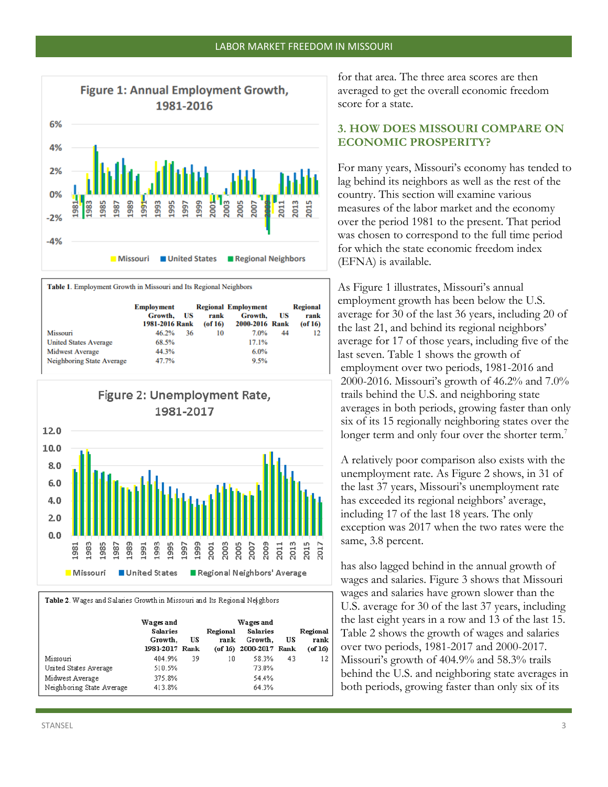

Table 1. Employment Growth in Missouri and Its Regional Neighbors

|                              | <b>Employment</b><br>Growth.<br>1981-2016 Rank | US | rank<br>$($ of 16 $)$ | <b>Regional Employment</b><br>Growth.<br>2000-2016 Rank | US | <b>Regional</b><br>rank<br>$($ of 16 $)$ |
|------------------------------|------------------------------------------------|----|-----------------------|---------------------------------------------------------|----|------------------------------------------|
| Missouri                     | 46.2%                                          | 36 | 10                    | 7.0%                                                    | 44 | 12                                       |
| <b>United States Average</b> | 68.5%                                          |    |                       | 17.1%                                                   |    |                                          |
| <b>Midwest Average</b>       | 44.3%                                          |    |                       | $6.0\%$                                                 |    |                                          |
| Neighboring State Average    | 47.7%                                          |    |                       | 9.5%                                                    |    |                                          |



Table 2. Wages and Salaries Growth in Missouri and Its Regional Neighbors

|                           | Wages and<br><b>Salaries</b><br>Growth,<br>1981-2017 Rank | US | Regional<br>rank | Wages and<br><b>Salaries</b><br>Growth.<br>(of 16) 2000-2017 Rank | US | Regional<br>rank<br>$($ of 16 $)$ |
|---------------------------|-----------------------------------------------------------|----|------------------|-------------------------------------------------------------------|----|-----------------------------------|
| Missouri                  | 404.9%                                                    | 39 | 10               | 58.3%                                                             | 43 | 12                                |
| United States Average     | 510.5%                                                    |    |                  | 73.0%                                                             |    |                                   |
| Midwest Average           | 375.8%                                                    |    |                  | 54.4%                                                             |    |                                   |
| Neighboring State Average | 413.8%                                                    |    |                  | 64.3%                                                             |    |                                   |

for that area. The three area scores are then averaged to get the overall economic freedom score for a state.

#### **3. HOW DOES MISSOURI COMPARE ON ECONOMIC PROSPERITY?**

For many years, Missouri's economy has tended to lag behind its neighbors as well as the rest of the country. This section will examine various measures of the labor market and the economy over the period 1981 to the present. That period was chosen to correspond to the full time period for which the state economic freedom index (EFNA) is available.

As Figure 1 illustrates, Missouri's annual employment growth has been below the U.S. average for 30 of the last 36 years, including 20 of the last 21, and behind its regional neighbors' average for 17 of those years, including five of the last seven. Table 1 shows the growth of employment over two periods, 1981-2016 and 2000-2016. Missouri's growth of 46.2% and 7.0% trails behind the U.S. and neighboring state averages in both periods, growing faster than only six of its 15 regionally neighboring states over the longer term and only four over the shorter term.<sup>7</sup>

A relatively poor comparison also exists with the unemployment rate. As Figure 2 shows, in 31 of the last 37 years, Missouri's unemployment rate has exceeded its regional neighbors' average, including 17 of the last 18 years. The only exception was 2017 when the two rates were the same, 3.8 percent.

has also lagged behind in the annual growth of wages and salaries. Figure 3 shows that Missouri wages and salaries have grown slower than the U.S. average for 30 of the last 37 years, including the last eight years in a row and 13 of the last 15. Table 2 shows the growth of wages and salaries over two periods, 1981-2017 and 2000-2017. Missouri's growth of 404.9% and 58.3% trails behind the U.S. and neighboring state averages in both periods, growing faster than only six of its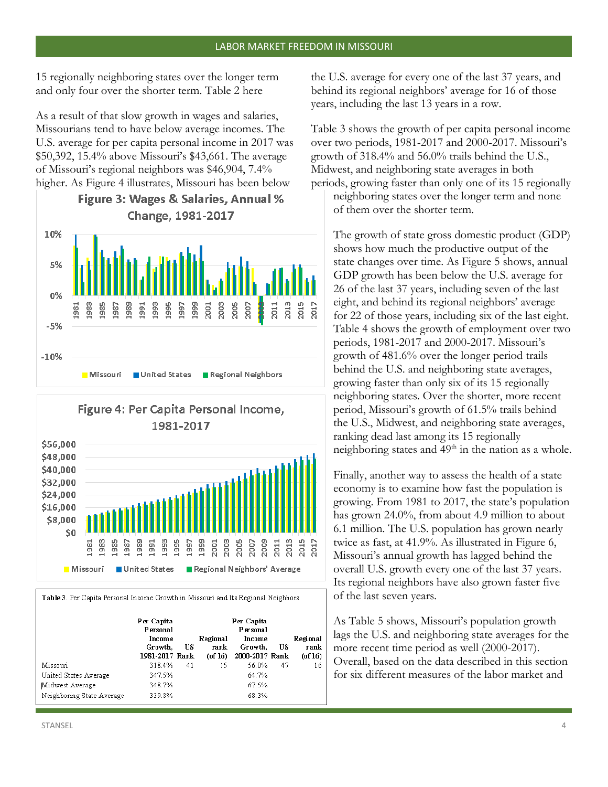15 regionally neighboring states over the longer term and only four over the shorter term. Table 2 here

As a result of that slow growth in wages and salaries, Missourians tend to have below average incomes. The U.S. average for per capita personal income in 2017 was \$50,392, 15.4% above Missouri's \$43,661. The average of Missouri's regional neighbors was \$46,904, 7.4% higher. As Figure 4 illustrates, Missouri has been below

# **Figure 3: Wages & Salaries, Annual %** Change, 1981-2017





Table 3. Per Capita Personal Income Growth in Missouri and Its Regional Neighbors

|                           | Per Capita<br>Personal<br>Income<br>Growth.<br>1981-2017 Rank | US | Regional<br>rank<br>$($ of $16)$ | Per Capita<br>Personal<br>Income<br>Growth.<br>2000-2017 Rank | US | Regional<br>rank<br>$($ of 16 $)$ |
|---------------------------|---------------------------------------------------------------|----|----------------------------------|---------------------------------------------------------------|----|-----------------------------------|
| Missouri                  | 318.4%                                                        | 41 | 15                               | 56.0%                                                         | 47 | 16                                |
| United States Average     | 347.5%                                                        |    |                                  | 64.7%                                                         |    |                                   |
| Midwest Average           | 348.7%                                                        |    |                                  | 67.5%                                                         |    |                                   |
| Neighboring State Average | 339.8%                                                        |    |                                  | 68.3%                                                         |    |                                   |

the U.S. average for every one of the last 37 years, and behind its regional neighbors' average for 16 of those years, including the last 13 years in a row.

Table 3 shows the growth of per capita personal income over two periods, 1981-2017 and 2000-2017. Missouri's growth of 318.4% and 56.0% trails behind the U.S., Midwest, and neighboring state averages in both periods, growing faster than only one of its 15 regionally neighboring states over the longer term and none of them over the shorter term.

The growth of state gross domestic product (GDP) shows how much the productive output of the state changes over time. As Figure 5 shows, annual GDP growth has been below the U.S. average for 26 of the last 37 years, including seven of the last eight, and behind its regional neighbors' average for 22 of those years, including six of the last eight. Table 4 shows the growth of employment over two periods, 1981-2017 and 2000-2017. Missouri's growth of 481.6% over the longer period trails behind the U.S. and neighboring state averages, growing faster than only six of its 15 regionally neighboring states. Over the shorter, more recent period, Missouri's growth of 61.5% trails behind the U.S., Midwest, and neighboring state averages, ranking dead last among its 15 regionally neighboring states and  $49<sup>th</sup>$  in the nation as a whole.

Finally, another way to assess the health of a state economy is to examine how fast the population is growing. From 1981 to 2017, the state's population has grown 24.0%, from about 4.9 million to about 6.1 million. The U.S. population has grown nearly twice as fast, at 41.9%. As illustrated in Figure 6, Missouri's annual growth has lagged behind the overall U.S. growth every one of the last 37 years. Its regional neighbors have also grown faster five of the last seven years.

As Table 5 shows, Missouri's population growth lags the U.S. and neighboring state averages for the more recent time period as well (2000-2017). Overall, based on the data described in this section for six different measures of the labor market and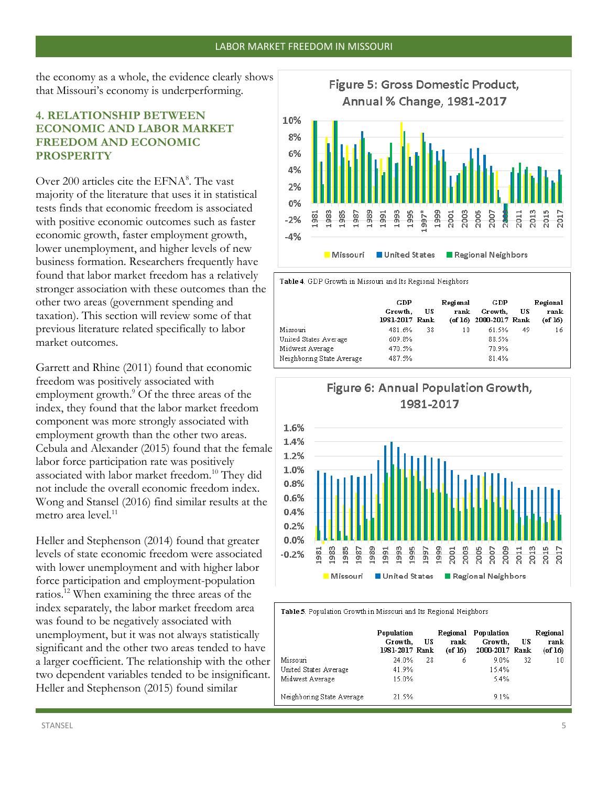the economy as a whole, the evidence clearly shows that Missouri's economy is underperforming.

#### **4. RELATIONSHIP BETWEEN ECONOMIC AND LABOR MARKET FREEDOM AND ECONOMIC PROSPERITY**

Over 200 articles cite the EFNA<sup>8</sup>. The vast majority of the literature that uses it in statistical tests finds that economic freedom is associated with positive economic outcomes such as faster economic growth, faster employment growth, lower unemployment, and higher levels of new business formation. Researchers frequently have found that labor market freedom has a relatively stronger association with these outcomes than the other two areas (government spending and taxation). This section will review some of that previous literature related specifically to labor market outcomes.

Garrett and Rhine (2011) found that economic freedom was positively associated with employment growth.<sup>9</sup> Of the three areas of the index, they found that the labor market freedom component was more strongly associated with employment growth than the other two areas. Cebula and Alexander (2015) found that the female labor force participation rate was positively associated with labor market freedom.<sup>10</sup> They did not include the overall economic freedom index. Wong and Stansel (2016) find similar results at the metro area level.<sup>11</sup>

Heller and Stephenson (2014) found that greater levels of state economic freedom were associated with lower unemployment and with higher labor force participation and employment-population ratios.<sup>12</sup> When examining the three areas of the index separately, the labor market freedom area was found to be negatively associated with unemployment, but it was not always statistically significant and the other two areas tended to have a larger coefficient. The relationship with the other two dependent variables tended to be insignificant. Heller and Stephenson (2015) found similar



**United States Nissouri** 

Table 4. GDP Growth in Missouri and Its Regional Neighbors

|                           | GDP<br>Growth.<br>1981-2017 Rank | US | Regional<br>rank | GDP<br>Growth.<br>(of 16) 2000-2017 Rank | US | Regional<br>rank<br>$($ of 16 $)$ |
|---------------------------|----------------------------------|----|------------------|------------------------------------------|----|-----------------------------------|
| Missouri                  | 481.6%                           | 38 | 10               | 61.5%                                    | 49 | 16                                |
| United States Average     | 609.8%                           |    |                  | 88.5%                                    |    |                                   |
| Midwest Average           | 470.5%                           |    |                  | 70.9%                                    |    |                                   |
| Neighboring State Average | 487.5%                           |    |                  | 81.4%                                    |    |                                   |



Table 5. Population Growth in Missouri and Its Regional Neighbors

|                           | Population<br>Growth.<br>1981-2017 Rank | US | Regional<br>rank<br>$($ of 16 $)$ | Population<br>Growth.<br>2000-2017 Rank | US | Regional<br>rank<br>(of 16) |
|---------------------------|-----------------------------------------|----|-----------------------------------|-----------------------------------------|----|-----------------------------|
| Missouri                  | 24.0%                                   | 28 | б                                 | $9.0\%$                                 | 32 | 10                          |
| United States Average     | 41.9%                                   |    |                                   | 15.4%                                   |    |                             |
| Midwest Average           | 15.0%                                   |    |                                   | 5.4%                                    |    |                             |
| Neighboring State Average | 21.5%                                   |    |                                   | 9.1%                                    |    |                             |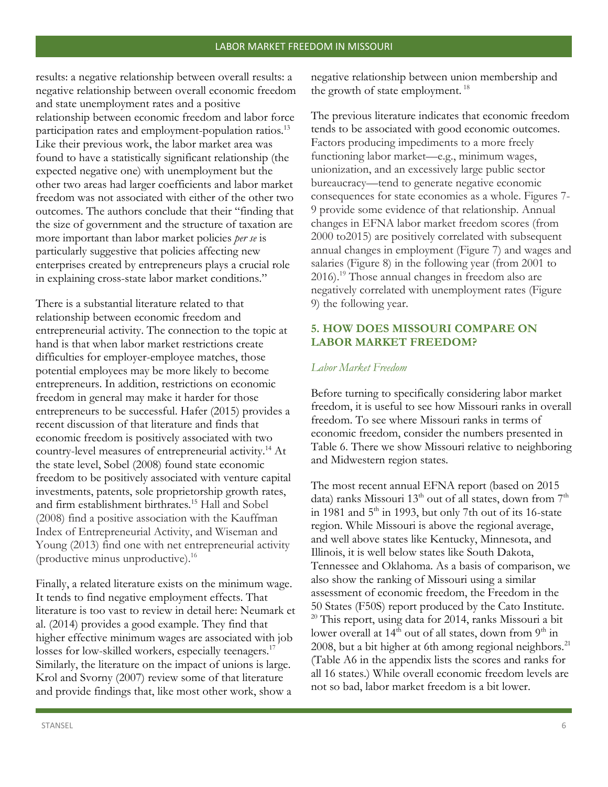results: a negative relationship between overall results: a negative relationship between overall economic freedom and state unemployment rates and a positive relationship between economic freedom and labor force participation rates and employment-population ratios.<sup>13</sup> Like their previous work, the labor market area was found to have a statistically significant relationship (the expected negative one) with unemployment but the other two areas had larger coefficients and labor market freedom was not associated with either of the other two outcomes. The authors conclude that their "finding that the size of government and the structure of taxation are more important than labor market policies *per se* is particularly suggestive that policies affecting new enterprises created by entrepreneurs plays a crucial role in explaining cross-state labor market conditions."

There is a substantial literature related to that relationship between economic freedom and entrepreneurial activity. The connection to the topic at hand is that when labor market restrictions create difficulties for employer-employee matches, those potential employees may be more likely to become entrepreneurs. In addition, restrictions on economic freedom in general may make it harder for those entrepreneurs to be successful. Hafer (2015) provides a recent discussion of that literature and finds that economic freedom is positively associated with two country-level measures of entrepreneurial activity.<sup>14</sup> At the state level, Sobel (2008) found state economic freedom to be positively associated with venture capital investments, patents, sole proprietorship growth rates, and firm establishment birthrates.<sup>15</sup> Hall and Sobel (2008) find a positive association with the Kauffman Index of Entrepreneurial Activity, and Wiseman and Young (2013) find one with net entrepreneurial activity (productive minus unproductive).<sup>16</sup>

Finally, a related literature exists on the minimum wage. It tends to find negative employment effects. That literature is too vast to review in detail here: Neumark et al. (2014) provides a good example. They find that higher effective minimum wages are associated with job losses for low-skilled workers, especially teenagers.<sup>17</sup> Similarly, the literature on the impact of unions is large. Krol and Svorny (2007) review some of that literature and provide findings that, like most other work, show a

negative relationship between union membership and the growth of state employment.  $18$ 

The previous literature indicates that economic freedom tends to be associated with good economic outcomes. Factors producing impediments to a more freely functioning labor market—e.g., minimum wages, unionization, and an excessively large public sector bureaucracy—tend to generate negative economic consequences for state economies as a whole. Figures 7- 9 provide some evidence of that relationship. Annual changes in EFNA labor market freedom scores (from 2000 to2015) are positively correlated with subsequent annual changes in employment (Figure 7) and wages and salaries (Figure 8) in the following year (from 2001 to 2016).<sup>19</sup> Those annual changes in freedom also are negatively correlated with unemployment rates (Figure 9) the following year.

#### **5. HOW DOES MISSOURI COMPARE ON LABOR MARKET FREEDOM?**

#### *Labor Market Freedom*

Before turning to specifically considering labor market freedom, it is useful to see how Missouri ranks in overall freedom. To see where Missouri ranks in terms of economic freedom, consider the numbers presented in Table 6. There we show Missouri relative to neighboring and Midwestern region states.

The most recent annual EFNA report (based on 2015 data) ranks Missouri 13<sup>th</sup> out of all states, down from  $7<sup>th</sup>$ in 1981 and  $5<sup>th</sup>$  in 1993, but only 7th out of its 16-state region. While Missouri is above the regional average, and well above states like Kentucky, Minnesota, and Illinois, it is well below states like South Dakota, Tennessee and Oklahoma. As a basis of comparison, we also show the ranking of Missouri using a similar assessment of economic freedom, the Freedom in the 50 States (F50S) report produced by the Cato Institute.  $20$  This report, using data for 2014, ranks Missouri a bit lower overall at 14<sup>th</sup> out of all states, down from 9<sup>th</sup> in 2008, but a bit higher at 6th among regional neighbors. $^{21}$ (Table A6 in the appendix lists the scores and ranks for all 16 states.) While overall economic freedom levels are not so bad, labor market freedom is a bit lower.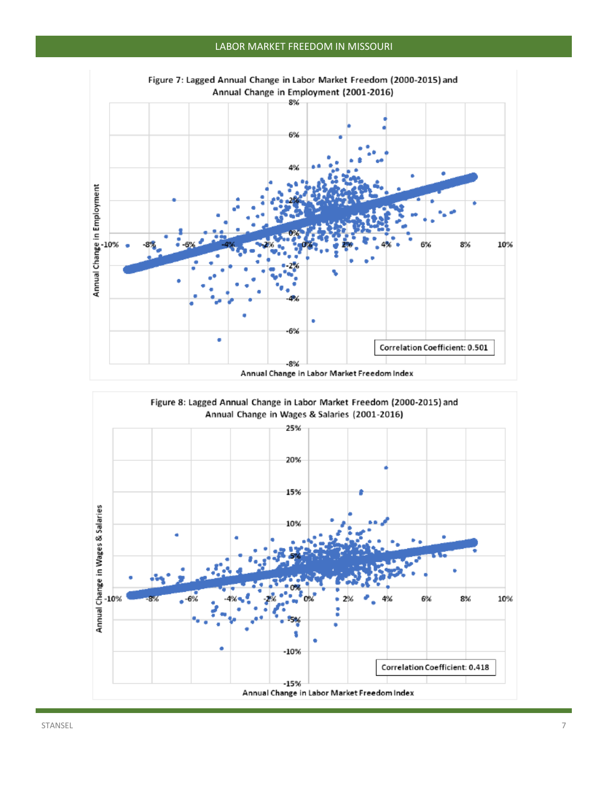#### LABOR MARKET FREEDOM IN MISSOURI



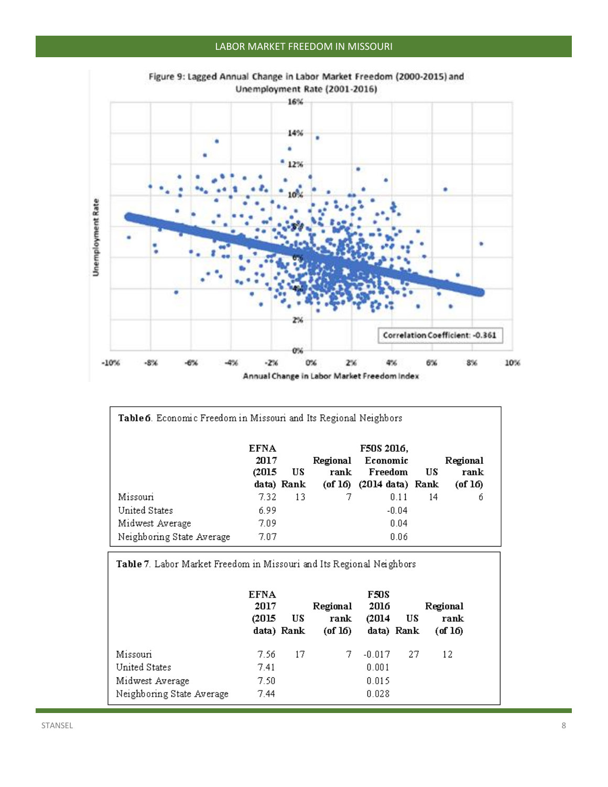## LABOR MARKET FREEDOM IN MISSOURI



| Figure 9: Lagged Annual Change in Labor Market Freedom (2000-2015) and |  |                               |  |  |
|------------------------------------------------------------------------|--|-------------------------------|--|--|
|                                                                        |  | Unemployment Rate (2001-2016) |  |  |

| Table 6. Economic Freedom in Missouri and Its Regional Neighbors |             |            |          |                                     |    |               |  |  |
|------------------------------------------------------------------|-------------|------------|----------|-------------------------------------|----|---------------|--|--|
|                                                                  | <b>EFNA</b> |            |          | F50S 2016.                          |    |               |  |  |
|                                                                  | 2017        |            | Regional | Economic<br>Freedom                 | US | Regional      |  |  |
|                                                                  | (2015)      | US         | rank     |                                     |    | rank          |  |  |
|                                                                  |             | data) Rank |          | $($ of 16 $)$ $(2014$ data $)$ Rank |    | $($ of 16 $)$ |  |  |
| Missouri                                                         | 7.32        | 13         |          | 0.11                                | 14 | б             |  |  |
| United States                                                    | 6.99        |            |          | $-0.04$                             |    |               |  |  |
| Midwest Average                                                  | 7.09        |            |          | 0.04                                |    |               |  |  |
| Neighboring State Average                                        | 7.07        |            |          | 0.06                                |    |               |  |  |

Table 7. Labor Market Freedom in Missouri and Its Regional Neighbors

|                                                                           | <b>EFNA</b><br>2017<br>(2015  | US<br>data) Rank | Regional<br>rank<br>$($ of 16 $)$ | F50S<br>2016<br>(2014)              | US<br>data) Rank | Regional<br>rank<br>$(\text{of } 16)$ |
|---------------------------------------------------------------------------|-------------------------------|------------------|-----------------------------------|-------------------------------------|------------------|---------------------------------------|
| Missouri<br>United States<br>Midwest Average<br>Neighboring State Average | 7.56<br>7.41<br>7.50.<br>7.44 | 17               |                                   | $-0.017$<br>0.001<br>0.015<br>0.028 | 27               | 12                                    |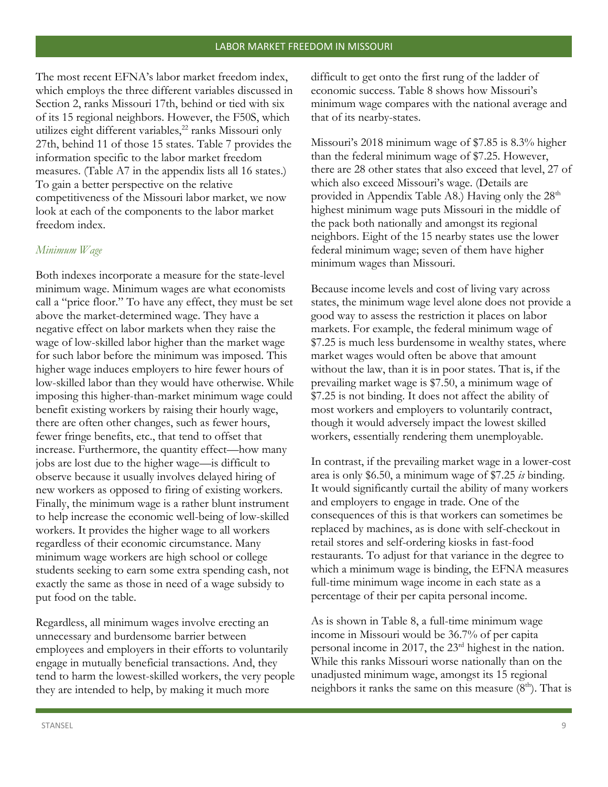The most recent EFNA's labor market freedom index, which employs the three different variables discussed in Section 2, ranks Missouri 17th, behind or tied with six of its 15 regional neighbors. However, the F50S, which utilizes eight different variables,<sup>22</sup> ranks Missouri only 27th, behind 11 of those 15 states. Table 7 provides the information specific to the labor market freedom measures. (Table A7 in the appendix lists all 16 states.) To gain a better perspective on the relative competitiveness of the Missouri labor market, we now look at each of the components to the labor market freedom index.

#### *Minimum Wage*

Both indexes incorporate a measure for the state-level minimum wage. Minimum wages are what economists call a "price floor." To have any effect, they must be set above the market-determined wage. They have a negative effect on labor markets when they raise the wage of low-skilled labor higher than the market wage for such labor before the minimum was imposed. This higher wage induces employers to hire fewer hours of low-skilled labor than they would have otherwise. While imposing this higher-than-market minimum wage could benefit existing workers by raising their hourly wage, there are often other changes, such as fewer hours, fewer fringe benefits, etc., that tend to offset that increase. Furthermore, the quantity effect—how many jobs are lost due to the higher wage—is difficult to observe because it usually involves delayed hiring of new workers as opposed to firing of existing workers. Finally, the minimum wage is a rather blunt instrument to help increase the economic well-being of low-skilled workers. It provides the higher wage to all workers regardless of their economic circumstance. Many minimum wage workers are high school or college students seeking to earn some extra spending cash, not exactly the same as those in need of a wage subsidy to put food on the table.

Regardless, all minimum wages involve erecting an unnecessary and burdensome barrier between employees and employers in their efforts to voluntarily engage in mutually beneficial transactions. And, they tend to harm the lowest-skilled workers, the very people they are intended to help, by making it much more

difficult to get onto the first rung of the ladder of economic success. Table 8 shows how Missouri's minimum wage compares with the national average and that of its nearby-states.

Missouri's 2018 minimum wage of \$7.85 is 8.3% higher than the federal minimum wage of \$7.25. However, there are 28 other states that also exceed that level, 27 of which also exceed Missouri's wage. (Details are provided in Appendix Table A8.) Having only the  $28<sup>th</sup>$ highest minimum wage puts Missouri in the middle of the pack both nationally and amongst its regional neighbors. Eight of the 15 nearby states use the lower federal minimum wage; seven of them have higher minimum wages than Missouri.

Because income levels and cost of living vary across states, the minimum wage level alone does not provide a good way to assess the restriction it places on labor markets. For example, the federal minimum wage of \$7.25 is much less burdensome in wealthy states, where market wages would often be above that amount without the law, than it is in poor states. That is, if the prevailing market wage is \$7.50, a minimum wage of \$7.25 is not binding. It does not affect the ability of most workers and employers to voluntarily contract, though it would adversely impact the lowest skilled workers, essentially rendering them unemployable.

In contrast, if the prevailing market wage in a lower-cost area is only \$6.50, a minimum wage of \$7.25 *is* binding. It would significantly curtail the ability of many workers and employers to engage in trade. One of the consequences of this is that workers can sometimes be replaced by machines, as is done with self-checkout in retail stores and self-ordering kiosks in fast-food restaurants. To adjust for that variance in the degree to which a minimum wage is binding, the EFNA measures full-time minimum wage income in each state as a percentage of their per capita personal income.

As is shown in Table 8, a full-time minimum wage income in Missouri would be 36.7% of per capita personal income in 2017, the 23rd highest in the nation. While this ranks Missouri worse nationally than on the unadjusted minimum wage, amongst its 15 regional neighbors it ranks the same on this measure  $(8<sup>th</sup>)$ . That is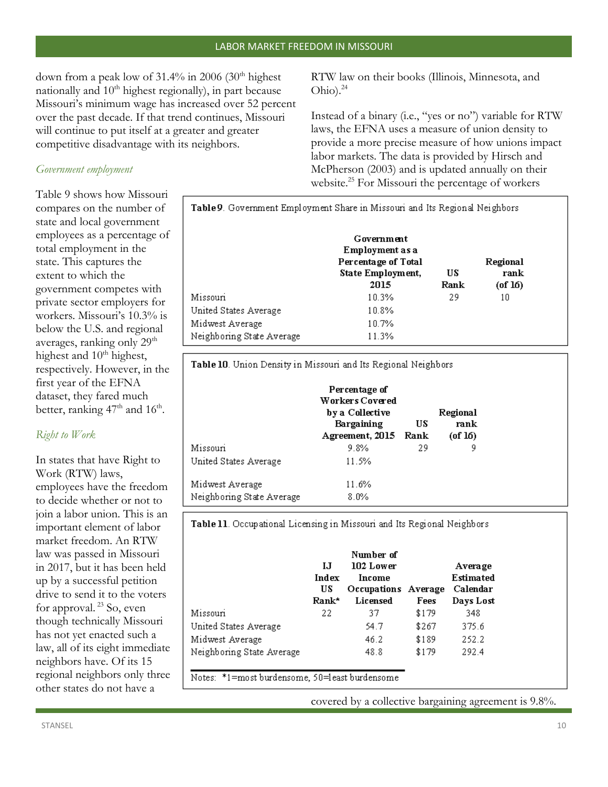down from a peak low of  $31.4\%$  in 2006 (30<sup>th</sup> highest nationally and  $10<sup>th</sup>$  highest regionally), in part because Missouri's minimum wage has increased over 52 percent over the past decade. If that trend continues, Missouri will continue to put itself at a greater and greater competitive disadvantage with its neighbors.

#### *Government employment*

Table 9 shows how Missouri compares on the number of state and local government employees as a percentage of total employment in the state. This captures the extent to which the government competes with private sector employers for workers. Missouri's 10.3% is below the U.S. and regional averages, ranking only 29<sup>th</sup> highest and 10<sup>th</sup> highest, respectively. However, in the first year of the EFNA dataset, they fared much better, ranking  $47<sup>th</sup>$  and  $16<sup>th</sup>$ .

## *Right to Work*

In states that have Right to Work (RTW) laws, employees have the freedom to decide whether or not to join a labor union. This is an important element of labor market freedom. An RTW law was passed in Missouri in 2017, but it has been held up by a successful petition drive to send it to the voters for approval.<sup>23</sup> So, even though technically Missouri has not yet enacted such a law, all of its eight immediate neighbors have. Of its 15 regional neighbors only three other states do not have a

RTW law on their books (Illinois, Minnesota, and Ohio). $^{24}$ 

Instead of a binary (i.e., "yes or no") variable for RTW laws, the EFNA uses a measure of union density to provide a more precise measure of how unions impact labor markets. The data is provided by Hirsch and McPherson (2003) and is updated annually on their website.<sup>25</sup> For Missouri the percentage of workers

| Table 9. Government Employment Share in Missouri and Its Regional Neighbors |                                                                                   |            |                                   |  |  |  |  |  |
|-----------------------------------------------------------------------------|-----------------------------------------------------------------------------------|------------|-----------------------------------|--|--|--|--|--|
|                                                                             | Government<br>Employment as a<br>Percentage of Total<br>State Employment,<br>2015 | US<br>Rank | Regional<br>rank<br>$($ of 16 $)$ |  |  |  |  |  |
| Missouri                                                                    | 10.3%                                                                             | 29         | 10                                |  |  |  |  |  |
| United States Average                                                       | 10.8%                                                                             |            |                                   |  |  |  |  |  |
| Midwest Average<br>Neighboring State Average                                | 10.7%<br>11.3%                                                                    |            |                                   |  |  |  |  |  |

Table 10. Union Density in Missouri and Its Regional Neighbors

|                           | Percentage of<br>Workers Covered<br>by a Collective<br>Bargaining<br>Agreement, 2015 Rank | US | Regional<br>rank<br>$($ of $16)$ |
|---------------------------|-------------------------------------------------------------------------------------------|----|----------------------------------|
| Missouri                  | 9.8%                                                                                      | 29 | 9                                |
| United States Average     | 11.5%                                                                                     |    |                                  |
| Midwest Average           | 11.6%                                                                                     |    |                                  |
| Neighboring State Average | $8.0\%$                                                                                   |    |                                  |

Table 11. Occupational Licensing in Missouri and Its Regional Neighbors

|                           | IJ<br>Index<br>US<br>Rank* | Number of<br>102 Lower<br>Income<br>Occupations Average<br><b>Licensed</b> | Fees  | Average<br><b>Estimated</b><br>Calendar<br>Days Lost |
|---------------------------|----------------------------|----------------------------------------------------------------------------|-------|------------------------------------------------------|
| Missouri                  | 22                         | 37                                                                         | \$179 | 348                                                  |
| United States Average     |                            | 54.7                                                                       | \$267 | 375.6                                                |
| Midwest Average           |                            | 46.2                                                                       | \$189 | 252.2                                                |
| Neighboring State Average |                            | 48.8                                                                       | \$179 | 292.4                                                |

Notes: \*1=most burdensome, 50=least burdensome

covered by a collective bargaining agreement is 9.8%.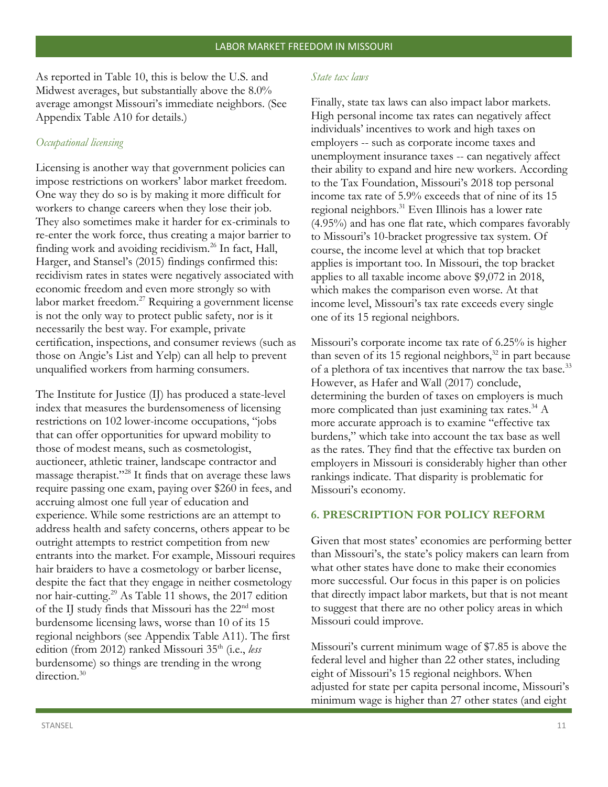As reported in Table 10, this is below the U.S. and Midwest averages, but substantially above the 8.0% average amongst Missouri's immediate neighbors. (See Appendix Table A10 for details.)

#### *Occupational licensing*

Licensing is another way that government policies can impose restrictions on workers' labor market freedom. One way they do so is by making it more difficult for workers to change careers when they lose their job. They also sometimes make it harder for ex-criminals to re-enter the work force, thus creating a major barrier to finding work and avoiding recidivism.<sup>26</sup> In fact, Hall, Harger, and Stansel's (2015) findings confirmed this: recidivism rates in states were negatively associated with economic freedom and even more strongly so with labor market freedom.<sup>27</sup> Requiring a government license is not the only way to protect public safety, nor is it necessarily the best way. For example, private certification, inspections, and consumer reviews (such as those on Angie's List and Yelp) can all help to prevent unqualified workers from harming consumers.

The Institute for Justice (IJ) has produced a state-level index that measures the burdensomeness of licensing restrictions on 102 lower-income occupations, "jobs that can offer opportunities for upward mobility to those of modest means, such as cosmetologist, auctioneer, athletic trainer, landscape contractor and massage therapist."<sup>28</sup> It finds that on average these laws require passing one exam, paying over \$260 in fees, and accruing almost one full year of education and experience. While some restrictions are an attempt to address health and safety concerns, others appear to be outright attempts to restrict competition from new entrants into the market. For example, Missouri requires hair braiders to have a cosmetology or barber license, despite the fact that they engage in neither cosmetology nor hair-cutting.<sup>29</sup> As Table 11 shows, the 2017 edition of the IJ study finds that Missouri has the 22<sup>nd</sup> most burdensome licensing laws, worse than 10 of its 15 regional neighbors (see Appendix Table A11). The first edition (from 2012) ranked Missouri 35<sup>th</sup> (i.e., *less* burdensome) so things are trending in the wrong direction.<sup>30</sup>

#### *State tax laws*

Finally, state tax laws can also impact labor markets. High personal income tax rates can negatively affect individuals' incentives to work and high taxes on employers -- such as corporate income taxes and unemployment insurance taxes -- can negatively affect their ability to expand and hire new workers. According to the Tax Foundation, Missouri's 2018 top personal income tax rate of 5.9% exceeds that of nine of its 15 regional neighbors.<sup>31</sup> Even Illinois has a lower rate (4.95%) and has one flat rate, which compares favorably to Missouri's 10-bracket progressive tax system. Of course, the income level at which that top bracket applies is important too. In Missouri, the top bracket applies to all taxable income above \$9,072 in 2018, which makes the comparison even worse. At that income level, Missouri's tax rate exceeds every single one of its 15 regional neighbors.

Missouri's corporate income tax rate of 6.25% is higher than seven of its 15 regional neighbors, $32$  in part because of a plethora of tax incentives that narrow the tax base.<sup>33</sup> However, as Hafer and Wall (2017) conclude, determining the burden of taxes on employers is much more complicated than just examining tax rates. $34$  A more accurate approach is to examine "effective tax burdens," which take into account the tax base as well as the rates. They find that the effective tax burden on employers in Missouri is considerably higher than other rankings indicate. That disparity is problematic for Missouri's economy.

#### **6. PRESCRIPTION FOR POLICY REFORM**

Given that most states' economies are performing better than Missouri's, the state's policy makers can learn from what other states have done to make their economies more successful. Our focus in this paper is on policies that directly impact labor markets, but that is not meant to suggest that there are no other policy areas in which Missouri could improve.

Missouri's current minimum wage of \$7.85 is above the federal level and higher than 22 other states, including eight of Missouri's 15 regional neighbors. When adjusted for state per capita personal income, Missouri's minimum wage is higher than 27 other states (and eight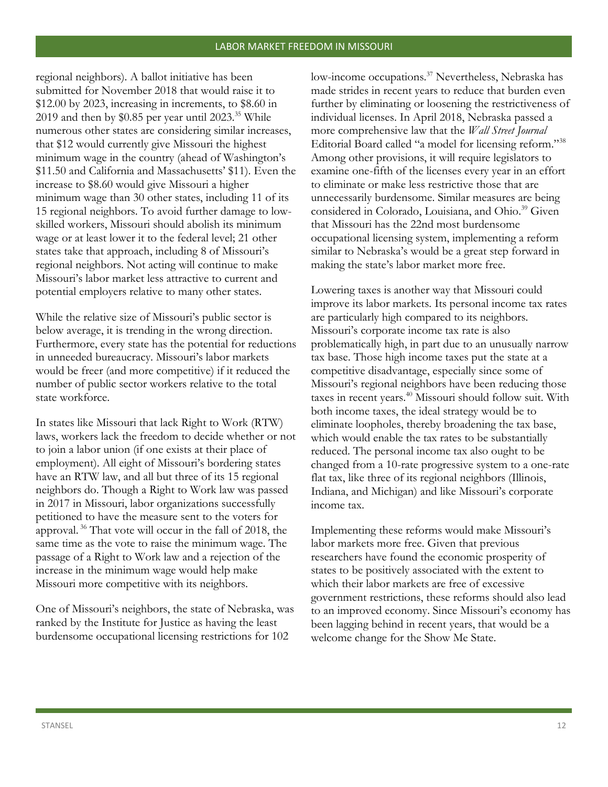regional neighbors). A ballot initiative has been submitted for November 2018 that would raise it to \$12.00 by 2023, increasing in increments, to \$8.60 in 2019 and then by  $$0.85$  per year until 2023.<sup>35</sup> While numerous other states are considering similar increases, that \$12 would currently give Missouri the highest minimum wage in the country (ahead of Washington's \$11.50 and California and Massachusetts' \$11). Even the increase to \$8.60 would give Missouri a higher minimum wage than 30 other states, including 11 of its 15 regional neighbors. To avoid further damage to lowskilled workers, Missouri should abolish its minimum wage or at least lower it to the federal level; 21 other states take that approach, including 8 of Missouri's regional neighbors. Not acting will continue to make Missouri's labor market less attractive to current and potential employers relative to many other states.

While the relative size of Missouri's public sector is below average, it is trending in the wrong direction. Furthermore, every state has the potential for reductions in unneeded bureaucracy. Missouri's labor markets would be freer (and more competitive) if it reduced the number of public sector workers relative to the total state workforce.

In states like Missouri that lack Right to Work (RTW) laws, workers lack the freedom to decide whether or not to join a labor union (if one exists at their place of employment). All eight of Missouri's bordering states have an RTW law, and all but three of its 15 regional neighbors do. Though a Right to Work law was passed in 2017 in Missouri, labor organizations successfully petitioned to have the measure sent to the voters for approval. <sup>36</sup> That vote will occur in the fall of 2018, the same time as the vote to raise the minimum wage. The passage of a Right to Work law and a rejection of the increase in the minimum wage would help make Missouri more competitive with its neighbors.

One of Missouri's neighbors, the state of Nebraska, was ranked by the Institute for Justice as having the least burdensome occupational licensing restrictions for 102

low-income occupations.<sup>37</sup> Nevertheless, Nebraska has made strides in recent years to reduce that burden even further by eliminating or loosening the restrictiveness of individual licenses. In April 2018, Nebraska passed a more comprehensive law that the *Wall Street Journal* Editorial Board called "a model for licensing reform."<sup>38</sup> Among other provisions, it will require legislators to examine one-fifth of the licenses every year in an effort to eliminate or make less restrictive those that are unnecessarily burdensome. Similar measures are being considered in Colorado, Louisiana, and Ohio.<sup>39</sup> Given that Missouri has the 22nd most burdensome occupational licensing system, implementing a reform similar to Nebraska's would be a great step forward in making the state's labor market more free.

Lowering taxes is another way that Missouri could improve its labor markets. Its personal income tax rates are particularly high compared to its neighbors. Missouri's corporate income tax rate is also problematically high, in part due to an unusually narrow tax base. Those high income taxes put the state at a competitive disadvantage, especially since some of Missouri's regional neighbors have been reducing those taxes in recent years.<sup>40</sup> Missouri should follow suit. With both income taxes, the ideal strategy would be to eliminate loopholes, thereby broadening the tax base, which would enable the tax rates to be substantially reduced. The personal income tax also ought to be changed from a 10-rate progressive system to a one-rate flat tax, like three of its regional neighbors (Illinois, Indiana, and Michigan) and like Missouri's corporate income tax.

Implementing these reforms would make Missouri's labor markets more free. Given that previous researchers have found the economic prosperity of states to be positively associated with the extent to which their labor markets are free of excessive government restrictions, these reforms should also lead to an improved economy. Since Missouri's economy has been lagging behind in recent years, that would be a welcome change for the Show Me State.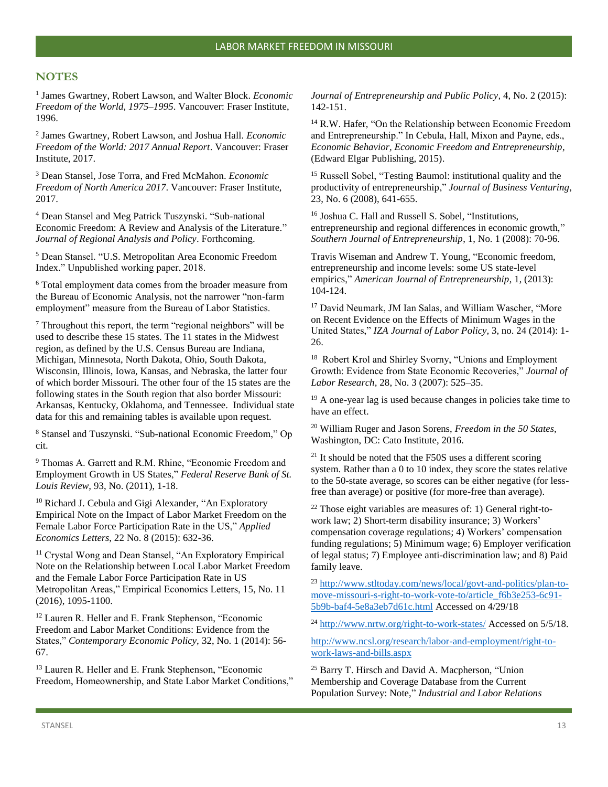#### **NOTES**

1 James Gwartney, Robert Lawson, and Walter Block. *Economic Freedom of the World, 1975–1995*. Vancouver: Fraser Institute, 1996.

2 James Gwartney, Robert Lawson, and Joshua Hall. *Economic Freedom of the World: 2017 Annual Report*. Vancouver: Fraser Institute, 2017.

<sup>3</sup> Dean Stansel, Jose Torra, and Fred McMahon. *Economic Freedom of North America 2017*. Vancouver: Fraser Institute, 2017.

<sup>4</sup> Dean Stansel and Meg Patrick Tuszynski. "Sub-national Economic Freedom: A Review and Analysis of the Literature." *Journal of Regional Analysis and Policy*. Forthcoming.

<sup>5</sup> Dean Stansel. "U.S. Metropolitan Area Economic Freedom Index." Unpublished working paper, 2018.

<sup>6</sup> Total employment data comes from the broader measure from the Bureau of Economic Analysis, not the narrower "non-farm employment" measure from the Bureau of Labor Statistics.

<sup>7</sup> Throughout this report, the term "regional neighbors" will be used to describe these 15 states. The 11 states in the Midwest region, as defined by the U.S. Census Bureau are Indiana, Michigan, Minnesota, North Dakota, Ohio, South Dakota, Wisconsin, Illinois, Iowa, Kansas, and Nebraska, the latter four of which border Missouri. The other four of the 15 states are the following states in the South region that also border Missouri: Arkansas, Kentucky, Oklahoma, and Tennessee. Individual state data for this and remaining tables is available upon request.

<sup>8</sup> Stansel and Tuszynski. "Sub-national Economic Freedom," Op cit.

<sup>9</sup> Thomas A. Garrett and R.M. Rhine, "Economic Freedom and Employment Growth in US States," *Federal Reserve Bank of St. Louis Review,* 93, No. (2011), 1-18.

<sup>10</sup> Richard J. Cebula and Gigi Alexander, "An Exploratory Empirical Note on the Impact of Labor Market Freedom on the Female Labor Force Participation Rate in the US," *Applied Economics Letters*, 22 No. 8 (2015): 632-36.

<sup>11</sup> Crystal Wong and Dean Stansel, "An Exploratory Empirical Note on the Relationship between Local Labor Market Freedom and the Female Labor Force Participation Rate in US Metropolitan Areas," Empirical Economics Letters, 15, No. 11 (2016), 1095-1100.

<sup>12</sup> Lauren R. Heller and E. Frank Stephenson, "Economic Freedom and Labor Market Conditions: Evidence from the States," *Contemporary Economic Policy,* 32, No. 1 (2014): 56- 67.

<sup>13</sup> Lauren R. Heller and E. Frank Stephenson, "Economic Freedom, Homeownership, and State Labor Market Conditions," *Journal of Entrepreneurship and Public Policy,* 4, No. 2 (2015): 142-151.

<sup>14</sup> R.W. Hafer, "On the Relationship between Economic Freedom and Entrepreneurship." In Cebula, Hall, Mixon and Payne, eds., *Economic Behavior, Economic Freedom and Entrepreneurship*, (Edward Elgar Publishing, 2015).

<sup>15</sup> Russell Sobel, "Testing Baumol: institutional quality and the productivity of entrepreneurship," *Journal of Business Venturing*, 23, No. 6 (2008), 641-655.

<sup>16</sup> Joshua C. Hall and Russell S. Sobel, "Institutions, entrepreneurship and regional differences in economic growth," *Southern Journal of Entrepreneurship*, 1, No. 1 (2008): 70-96.

Travis Wiseman and Andrew T. Young, "Economic freedom, entrepreneurship and income levels: some US state-level empirics," *American Journal of Entrepreneurship*, 1, (2013): 104-124.

<sup>17</sup> David Neumark, JM Ian Salas, and William Wascher, "More on Recent Evidence on the Effects of Minimum Wages in the United States," *IZA Journal of Labor Policy,* 3, no. 24 (2014): 1- 26.

<sup>18</sup> Robert Krol and Shirley Svorny, "Unions and Employment Growth: Evidence from State Economic Recoveries," *Journal of Labor Research,* 28, No. 3 (2007): 525–35.

 $19$  A one-year lag is used because changes in policies take time to have an effect.

<sup>20</sup> William Ruger and Jason Sorens, *Freedom in the 50 States,* Washington, DC: Cato Institute, 2016.

 $21$  It should be noted that the F50S uses a different scoring system. Rather than a 0 to 10 index, they score the states relative to the 50-state average, so scores can be either negative (for lessfree than average) or positive (for more-free than average).

 $22$  Those eight variables are measures of: 1) General right-towork law; 2) Short-term disability insurance; 3) Workers' compensation coverage regulations; 4) Workers' compensation funding regulations; 5) Minimum wage; 6) Employer verification of legal status; 7) Employee anti-discrimination law; and 8) Paid family leave.

<sup>23</sup> [http://www.stltoday.com/news/local/govt-and-politics/plan-to](http://www.stltoday.com/news/local/govt-and-politics/plan-to-move-missouri-s-right-to-work-vote-to/article_f6b3e253-6c91-5b9b-baf4-5e8a3eb7d61c.html)[move-missouri-s-right-to-work-vote-to/article\\_f6b3e253-6c91-](http://www.stltoday.com/news/local/govt-and-politics/plan-to-move-missouri-s-right-to-work-vote-to/article_f6b3e253-6c91-5b9b-baf4-5e8a3eb7d61c.html) [5b9b-baf4-5e8a3eb7d61c.html](http://www.stltoday.com/news/local/govt-and-politics/plan-to-move-missouri-s-right-to-work-vote-to/article_f6b3e253-6c91-5b9b-baf4-5e8a3eb7d61c.html) Accessed on 4/29/18

<sup>24</sup> <http://www.nrtw.org/right-to-work-states/> Accessed on 5/5/18.

[http://www.ncsl.org/research/labor-and-employment/right-to](http://www.ncsl.org/research/labor-and-employment/right-to-work-laws-and-bills.aspx)[work-laws-and-bills.aspx](http://www.ncsl.org/research/labor-and-employment/right-to-work-laws-and-bills.aspx)

<sup>25</sup> Barry T. Hirsch and David A. Macpherson, "Union Membership and Coverage Database from the Current Population Survey: Note," *Industrial and Labor Relations*